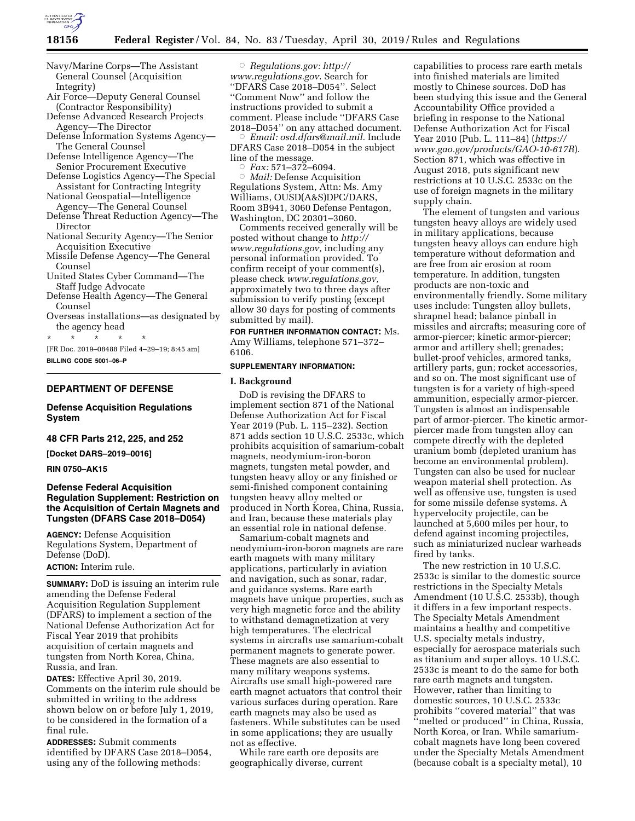

Navy/Marine Corps—The Assistant General Counsel (Acquisition Integrity)

Air Force—Deputy General Counsel (Contractor Responsibility)

- Defense Advanced Research Projects Agency—The Director
- Defense Information Systems Agency— The General Counsel

Defense Intelligence Agency—The Senior Procurement Executive

- Defense Logistics Agency—The Special Assistant for Contracting Integrity
- National Geospatial—Intelligence
- Agency—The General Counsel Defense Threat Reduction Agency—The Director
- National Security Agency—The Senior Acquisition Executive
- Missile Defense Agency—The General Counsel
- United States Cyber Command—The Staff Judge Advocate
- Defense Health Agency—The General Counsel
- Overseas installations—as designated by the agency head

\* \* \* \* \* [FR Doc. 2019–08488 Filed 4–29–19; 8:45 am]

**BILLING CODE 5001–06–P** 

# **DEPARTMENT OF DEFENSE**

### **Defense Acquisition Regulations System**

### **48 CFR Parts 212, 225, and 252**

**[Docket DARS–2019–0016]** 

#### **RIN 0750–AK15**

# **Defense Federal Acquisition Regulation Supplement: Restriction on the Acquisition of Certain Magnets and Tungsten (DFARS Case 2018–D054)**

**AGENCY:** Defense Acquisition Regulations System, Department of Defense (DoD).

**ACTION:** Interim rule.

**SUMMARY:** DoD is issuing an interim rule amending the Defense Federal Acquisition Regulation Supplement (DFARS) to implement a section of the National Defense Authorization Act for Fiscal Year 2019 that prohibits acquisition of certain magnets and tungsten from North Korea, China, Russia, and Iran.

**DATES:** Effective April 30, 2019. Comments on the interim rule should be submitted in writing to the address shown below on or before July 1, 2019, to be considered in the formation of a final rule.

**ADDRESSES:** Submit comments identified by DFARS Case 2018–D054, using any of the following methods:

Æ *Regulations.gov: [http://](http://www.regulations.gov) [www.regulations.gov](http://www.regulations.gov)*. Search for ''DFARS Case 2018–D054''. Select ''Comment Now'' and follow the instructions provided to submit a comment. Please include ''DFARS Case 2018–D054'' on any attached document.<br>© *Email: osd.dfars@mail.mil.* Include

 *Email: [osd.dfars@mail.mil.](mailto:osd.dfars@mail.mil)* Include DFARS Case 2018–D054 in the subject line of the message.

Æ *Fax:* 571–372–6094.

Æ *Mail:* Defense Acquisition Regulations System, Attn: Ms. Amy Williams, OUSD(A&S)DPC/DARS, Room 3B941, 3060 Defense Pentagon, Washington, DC 20301–3060.

Comments received generally will be posted without change to *[http://](http://www.regulations.gov) [www.regulations.gov,](http://www.regulations.gov)* including any personal information provided. To confirm receipt of your comment(s), please check *[www.regulations.gov,](http://www.regulations.gov)*  approximately two to three days after submission to verify posting (except allow 30 days for posting of comments submitted by mail).

**FOR FURTHER INFORMATION CONTACT:** Ms. Amy Williams, telephone 571–372– 6106.

#### **SUPPLEMENTARY INFORMATION:**

# **I. Background**

DoD is revising the DFARS to implement section 871 of the National Defense Authorization Act for Fiscal Year 2019 (Pub. L. 115–232). Section 871 adds section 10 U.S.C. 2533c, which prohibits acquisition of samarium-cobalt magnets, neodymium-iron-boron magnets, tungsten metal powder, and tungsten heavy alloy or any finished or semi-finished component containing tungsten heavy alloy melted or produced in North Korea, China, Russia, and Iran, because these materials play an essential role in national defense.

Samarium-cobalt magnets and neodymium-iron-boron magnets are rare earth magnets with many military applications, particularly in aviation and navigation, such as sonar, radar, and guidance systems. Rare earth magnets have unique properties, such as very high magnetic force and the ability to withstand demagnetization at very high temperatures. The electrical systems in aircrafts use samarium-cobalt permanent magnets to generate power. These magnets are also essential to many military weapons systems. Aircrafts use small high-powered rare earth magnet actuators that control their various surfaces during operation. Rare earth magnets may also be used as fasteners. While substitutes can be used in some applications; they are usually not as effective.

While rare earth ore deposits are geographically diverse, current

capabilities to process rare earth metals into finished materials are limited mostly to Chinese sources. DoD has been studying this issue and the General Accountability Office provided a briefing in response to the National Defense Authorization Act for Fiscal Year 2010 (Pub. L. 111–84) (*[https://](https://www.gao.gov/products/GAO-10-617R) [www.gao.gov/products/GAO-10-617R](https://www.gao.gov/products/GAO-10-617R)*). Section 871, which was effective in August 2018, puts significant new restrictions at 10 U.S.C. 2533c on the use of foreign magnets in the military supply chain.

The element of tungsten and various tungsten heavy alloys are widely used in military applications, because tungsten heavy alloys can endure high temperature without deformation and are free from air erosion at room temperature. In addition, tungsten products are non-toxic and environmentally friendly. Some military uses include: Tungsten alloy bullets, shrapnel head; balance pinball in missiles and aircrafts; measuring core of armor-piercer; kinetic armor-piercer; armor and artillery shell; grenades; bullet-proof vehicles, armored tanks, artillery parts, gun; rocket accessories, and so on. The most significant use of tungsten is for a variety of high-speed ammunition, especially armor-piercer. Tungsten is almost an indispensable part of armor-piercer. The kinetic armorpiercer made from tungsten alloy can compete directly with the depleted uranium bomb (depleted uranium has become an environmental problem). Tungsten can also be used for nuclear weapon material shell protection. As well as offensive use, tungsten is used for some missile defense systems. A hypervelocity projectile, can be launched at 5,600 miles per hour, to defend against incoming projectiles, such as miniaturized nuclear warheads fired by tanks.

The new restriction in 10 U.S.C. 2533c is similar to the domestic source restrictions in the Specialty Metals Amendment (10 U.S.C. 2533b), though it differs in a few important respects. The Specialty Metals Amendment maintains a healthy and competitive U.S. specialty metals industry, especially for aerospace materials such as titanium and super alloys. 10 U.S.C. 2533c is meant to do the same for both rare earth magnets and tungsten. However, rather than limiting to domestic sources, 10 U.S.C. 2533c prohibits ''covered material'' that was ''melted or produced'' in China, Russia, North Korea, or Iran. While samariumcobalt magnets have long been covered under the Specialty Metals Amendment (because cobalt is a specialty metal), 10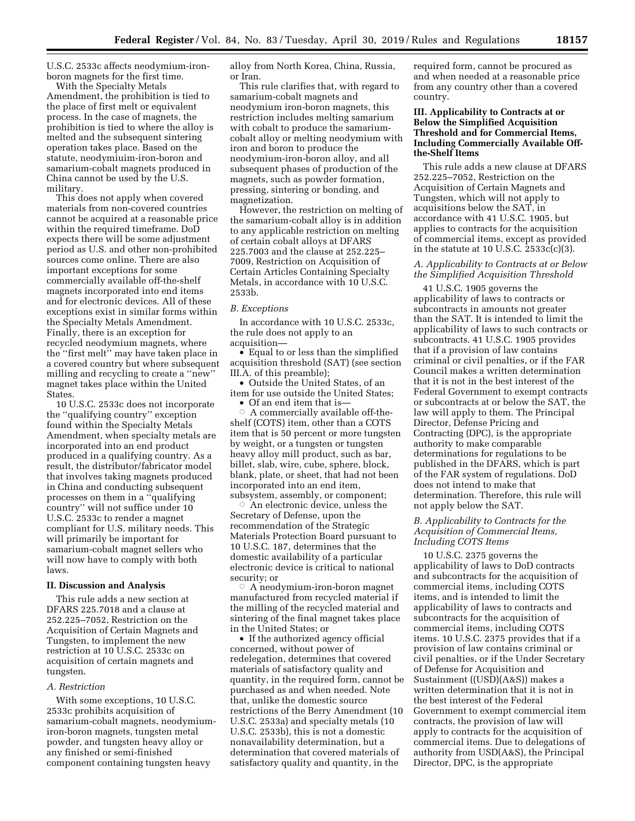U.S.C. 2533c affects neodymium-ironboron magnets for the first time.

With the Specialty Metals Amendment, the prohibition is tied to the place of first melt or equivalent process. In the case of magnets, the prohibition is tied to where the alloy is melted and the subsequent sintering operation takes place. Based on the statute, neodymiuim-iron-boron and samarium-cobalt magnets produced in China cannot be used by the U.S. military.

This does not apply when covered materials from non-covered countries cannot be acquired at a reasonable price within the required timeframe. DoD expects there will be some adjustment period as U.S. and other non-prohibited sources come online. There are also important exceptions for some commercially available off-the-shelf magnets incorporated into end items and for electronic devices. All of these exceptions exist in similar forms within the Specialty Metals Amendment. Finally, there is an exception for recycled neodymium magnets, where the ''first melt'' may have taken place in a covered country but where subsequent milling and recycling to create a ''new'' magnet takes place within the United States.

10 U.S.C. 2533c does not incorporate the ''qualifying country'' exception found within the Specialty Metals Amendment, when specialty metals are incorporated into an end product produced in a qualifying country. As a result, the distributor/fabricator model that involves taking magnets produced in China and conducting subsequent processes on them in a ''qualifying country'' will not suffice under 10 U.S.C. 2533c to render a magnet compliant for U.S. military needs. This will primarily be important for samarium-cobalt magnet sellers who will now have to comply with both laws.

# **II. Discussion and Analysis**

This rule adds a new section at DFARS 225.7018 and a clause at 252.225–7052, Restriction on the Acquisition of Certain Magnets and Tungsten, to implement the new restriction at 10 U.S.C. 2533c on acquisition of certain magnets and tungsten.

# *A. Restriction*

With some exceptions, 10 U.S.C. 2533c prohibits acquisition of samarium-cobalt magnets, neodymiumiron-boron magnets, tungsten metal powder, and tungsten heavy alloy or any finished or semi-finished component containing tungsten heavy

alloy from North Korea, China, Russia, or Iran.

This rule clarifies that, with regard to samarium-cobalt magnets and neodymium iron-boron magnets, this restriction includes melting samarium with cobalt to produce the samariumcobalt alloy or melting neodymium with iron and boron to produce the neodymium-iron-boron alloy, and all subsequent phases of production of the magnets, such as powder formation, pressing, sintering or bonding, and magnetization.

However, the restriction on melting of the samarium-cobalt alloy is in addition to any applicable restriction on melting of certain cobalt alloys at DFARS 225.7003 and the clause at 252.225– 7009, Restriction on Acquisition of Certain Articles Containing Specialty Metals, in accordance with 10 U.S.C. 2533b.

#### *B. Exceptions*

In accordance with 10 U.S.C. 2533c, the rule does not apply to an acquisition—

• Equal to or less than the simplified acquisition threshold (SAT) (see section III.A. of this preamble);

• Outside the United States, of an item for use outside the United States; • Of an end item that is-

 $\circ$  A commercially available off-theshelf (COTS) item, other than a COTS item that is 50 percent or more tungsten by weight, or a tungsten or tungsten heavy alloy mill product, such as bar, billet, slab, wire, cube, sphere, block, blank, plate, or sheet, that had not been incorporated into an end item, subsystem, assembly, or component;

 $\circ$  An electronic device, unless the Secretary of Defense, upon the recommendation of the Strategic Materials Protection Board pursuant to 10 U.S.C. 187, determines that the domestic availability of a particular electronic device is critical to national security; or

 $\circ$  A neodymium-iron-boron magnet manufactured from recycled material if the milling of the recycled material and sintering of the final magnet takes place in the United States; or

• If the authorized agency official concerned, without power of redelegation, determines that covered materials of satisfactory quality and quantity, in the required form, cannot be purchased as and when needed. Note that, unlike the domestic source restrictions of the Berry Amendment (10 U.S.C. 2533a) and specialty metals (10 U.S.C. 2533b), this is not a domestic nonavailability determination, but a determination that covered materials of satisfactory quality and quantity, in the

required form, cannot be procured as and when needed at a reasonable price from any country other than a covered country.

# **III. Applicability to Contracts at or Below the Simplified Acquisition Threshold and for Commercial Items, Including Commercially Available Offthe-Shelf Items**

This rule adds a new clause at DFARS 252.225–7052, Restriction on the Acquisition of Certain Magnets and Tungsten, which will not apply to acquisitions below the SAT, in accordance with 41 U.S.C. 1905, but applies to contracts for the acquisition of commercial items, except as provided in the statute at 10 U.S.C.  $2533c(c)(3)$ .

### *A. Applicability to Contracts at or Below the Simplified Acquisition Threshold*

41 U.S.C. 1905 governs the applicability of laws to contracts or subcontracts in amounts not greater than the SAT. It is intended to limit the applicability of laws to such contracts or subcontracts. 41 U.S.C. 1905 provides that if a provision of law contains criminal or civil penalties, or if the FAR Council makes a written determination that it is not in the best interest of the Federal Government to exempt contracts or subcontracts at or below the SAT, the law will apply to them. The Principal Director, Defense Pricing and Contracting (DPC), is the appropriate authority to make comparable determinations for regulations to be published in the DFARS, which is part of the FAR system of regulations. DoD does not intend to make that determination. Therefore, this rule will not apply below the SAT.

# *B. Applicability to Contracts for the Acquisition of Commercial Items, Including COTS Items*

10 U.S.C. 2375 governs the applicability of laws to DoD contracts and subcontracts for the acquisition of commercial items, including COTS items, and is intended to limit the applicability of laws to contracts and subcontracts for the acquisition of commercial items, including COTS items. 10 U.S.C. 2375 provides that if a provision of law contains criminal or civil penalties, or if the Under Secretary of Defense for Acquisition and Sustainment ((USD)(A&S)) makes a written determination that it is not in the best interest of the Federal Government to exempt commercial item contracts, the provision of law will apply to contracts for the acquisition of commercial items. Due to delegations of authority from USD(A&S), the Principal Director, DPC, is the appropriate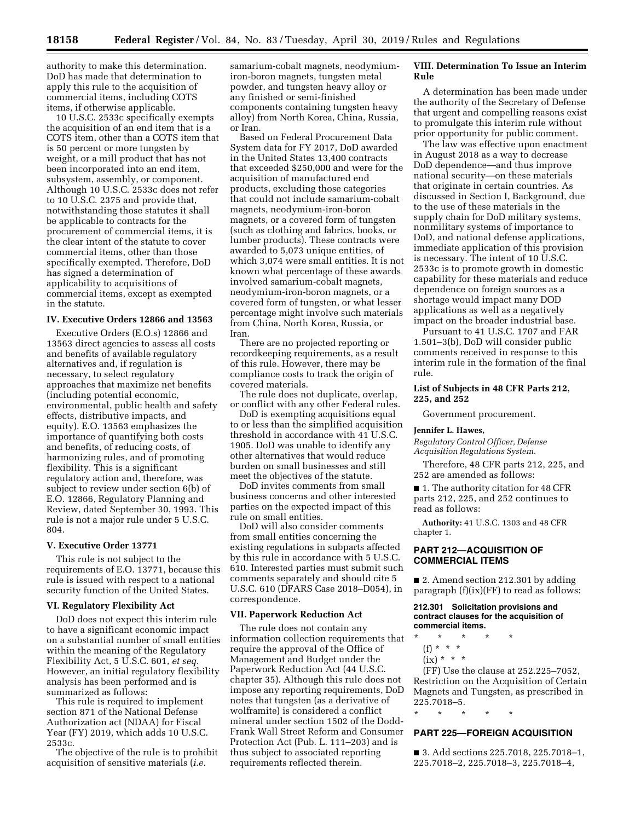authority to make this determination. DoD has made that determination to apply this rule to the acquisition of commercial items, including COTS items, if otherwise applicable.

10 U.S.C. 2533c specifically exempts the acquisition of an end item that is a COTS item, other than a COTS item that is 50 percent or more tungsten by weight, or a mill product that has not been incorporated into an end item, subsystem, assembly, or component. Although 10 U.S.C. 2533c does not refer to 10 U.S.C. 2375 and provide that, notwithstanding those statutes it shall be applicable to contracts for the procurement of commercial items, it is the clear intent of the statute to cover commercial items, other than those specifically exempted. Therefore, DoD has signed a determination of applicability to acquisitions of commercial items, except as exempted in the statute.

# **IV. Executive Orders 12866 and 13563**

Executive Orders (E.O.s) 12866 and 13563 direct agencies to assess all costs and benefits of available regulatory alternatives and, if regulation is necessary, to select regulatory approaches that maximize net benefits (including potential economic, environmental, public health and safety effects, distributive impacts, and equity). E.O. 13563 emphasizes the importance of quantifying both costs and benefits, of reducing costs, of harmonizing rules, and of promoting flexibility. This is a significant regulatory action and, therefore, was subject to review under section 6(b) of E.O. 12866, Regulatory Planning and Review, dated September 30, 1993. This rule is not a major rule under 5 U.S.C. 804.

# **V. Executive Order 13771**

This rule is not subject to the requirements of E.O. 13771, because this rule is issued with respect to a national security function of the United States.

#### **VI. Regulatory Flexibility Act**

DoD does not expect this interim rule to have a significant economic impact on a substantial number of small entities within the meaning of the Regulatory Flexibility Act, 5 U.S.C. 601, *et seq.*  However, an initial regulatory flexibility analysis has been performed and is summarized as follows:

This rule is required to implement section 871 of the National Defense Authorization act (NDAA) for Fiscal Year (FY) 2019, which adds 10 U.S.C. 2533c.

The objective of the rule is to prohibit acquisition of sensitive materials (*i.e.* 

samarium-cobalt magnets, neodymiumiron-boron magnets, tungsten metal powder, and tungsten heavy alloy or any finished or semi-finished components containing tungsten heavy alloy) from North Korea, China, Russia, or Iran.

Based on Federal Procurement Data System data for FY 2017, DoD awarded in the United States 13,400 contracts that exceeded \$250,000 and were for the acquisition of manufactured end products, excluding those categories that could not include samarium-cobalt magnets, neodymium-iron-boron magnets, or a covered form of tungsten (such as clothing and fabrics, books, or lumber products). These contracts were awarded to 5,073 unique entities, of which 3,074 were small entities. It is not known what percentage of these awards involved samarium-cobalt magnets, neodymium-iron-boron magnets, or a covered form of tungsten, or what lesser percentage might involve such materials from China, North Korea, Russia, or Iran.

There are no projected reporting or recordkeeping requirements, as a result of this rule. However, there may be compliance costs to track the origin of covered materials.

The rule does not duplicate, overlap, or conflict with any other Federal rules.

DoD is exempting acquisitions equal to or less than the simplified acquisition threshold in accordance with 41 U.S.C. 1905. DoD was unable to identify any other alternatives that would reduce burden on small businesses and still meet the objectives of the statute.

DoD invites comments from small business concerns and other interested parties on the expected impact of this rule on small entities.

DoD will also consider comments from small entities concerning the existing regulations in subparts affected by this rule in accordance with 5 U.S.C. 610. Interested parties must submit such comments separately and should cite 5 U.S.C. 610 (DFARS Case 2018–D054), in correspondence.

#### **VII. Paperwork Reduction Act**

The rule does not contain any information collection requirements that require the approval of the Office of Management and Budget under the Paperwork Reduction Act (44 U.S.C. chapter 35). Although this rule does not impose any reporting requirements, DoD notes that tungsten (as a derivative of wolframite) is considered a conflict mineral under section 1502 of the Dodd-Frank Wall Street Reform and Consumer Protection Act (Pub. L. 111–203) and is thus subject to associated reporting requirements reflected therein.

# **VIII. Determination To Issue an Interim Rule**

A determination has been made under the authority of the Secretary of Defense that urgent and compelling reasons exist to promulgate this interim rule without prior opportunity for public comment.

The law was effective upon enactment in August 2018 as a way to decrease DoD dependence—and thus improve national security—on these materials that originate in certain countries. As discussed in Section I, Background, due to the use of these materials in the supply chain for DoD military systems, nonmilitary systems of importance to DoD, and national defense applications, immediate application of this provision is necessary. The intent of 10 U.S.C. 2533c is to promote growth in domestic capability for these materials and reduce dependence on foreign sources as a shortage would impact many DOD applications as well as a negatively impact on the broader industrial base.

Pursuant to 41 U.S.C. 1707 and FAR 1.501–3(b), DoD will consider public comments received in response to this interim rule in the formation of the final rule.

# **List of Subjects in 48 CFR Parts 212, 225, and 252**

Government procurement.

#### **Jennifer L. Hawes,**

*Regulatory Control Officer, Defense Acquisition Regulations System.* 

Therefore, 48 CFR parts 212, 225, and 252 are amended as follows:

■ 1. The authority citation for 48 CFR parts 212, 225, and 252 continues to read as follows:

**Authority:** 41 U.S.C. 1303 and 48 CFR chapter 1.

# **PART 212—ACQUISITION OF COMMERCIAL ITEMS**

■ 2. Amend section 212.301 by adding paragraph (f)(ix)(FF) to read as follows:

#### **212.301 Solicitation provisions and contract clauses for the acquisition of commercial items.**

- \* \* \* \* \*
- (f) \* \* \*
- $(ix) * * * *$

(FF) Use the clause at 252.225–7052, Restriction on the Acquisition of Certain Magnets and Tungsten, as prescribed in 225.7018–5.

\* \* \* \* \*

# **PART 225—FOREIGN ACQUISITION**

■ 3. Add sections 225.7018, 225.7018-1, 225.7018–2, 225.7018–3, 225.7018–4,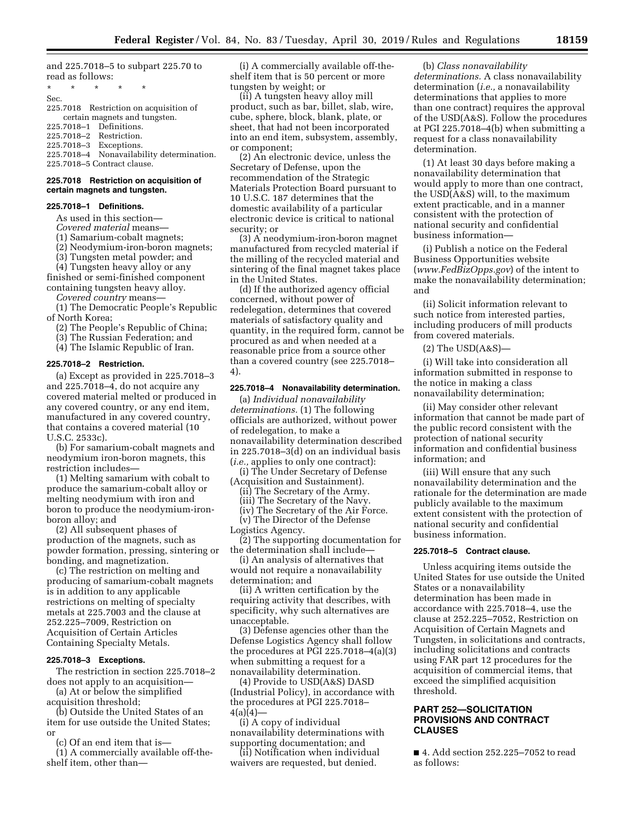and 225.7018–5 to subpart 225.70 to read as follows:

\* \* \* \* \* Sec.

225.7018 Restriction on acquisition of certain magnets and tungsten. 225.7018–1 Definitions.

225.7018–2 Restriction.

225.7018–3 Exceptions.

225.7018–4 Nonavailability determination. 225.7018–5 Contract clause.

# **225.7018 Restriction on acquisition of certain magnets and tungsten.**

### **225.7018–1 Definitions.**

As used in this section—

*Covered material* means—

(1) Samarium-cobalt magnets;

(2) Neodymium-iron-boron magnets;

(3) Tungsten metal powder; and

(4) Tungsten heavy alloy or any finished or semi-finished component containing tungsten heavy alloy.

*Covered country* means—

(1) The Democratic People's Republic of North Korea;

(2) The People's Republic of China;

(3) The Russian Federation; and

(4) The Islamic Republic of Iran.

#### **225.7018–2 Restriction.**

(a) Except as provided in 225.7018–3 and 225.7018–4, do not acquire any covered material melted or produced in any covered country, or any end item, manufactured in any covered country, that contains a covered material (10 U.S.C. 2533c).

(b) For samarium-cobalt magnets and neodymium iron-boron magnets, this restriction includes—

(1) Melting samarium with cobalt to produce the samarium-cobalt alloy or melting neodymium with iron and boron to produce the neodymium-ironboron alloy; and

(2) All subsequent phases of production of the magnets, such as powder formation, pressing, sintering or bonding, and magnetization.

(c) The restriction on melting and producing of samarium-cobalt magnets is in addition to any applicable restrictions on melting of specialty metals at 225.7003 and the clause at 252.225–7009, Restriction on Acquisition of Certain Articles Containing Specialty Metals.

# **225.7018–3 Exceptions.**

The restriction in section 225.7018–2 does not apply to an acquisition—

(a) At or below the simplified acquisition threshold;

(b) Outside the United States of an item for use outside the United States; or

(c) Of an end item that is—

(1) A commercially available off-theshelf item, other than—

(i) A commercially available off-theshelf item that is 50 percent or more tungsten by weight; or

(ii) A tungsten heavy alloy mill product, such as bar, billet, slab, wire, cube, sphere, block, blank, plate, or sheet, that had not been incorporated into an end item, subsystem, assembly, or component;

(2) An electronic device, unless the Secretary of Defense, upon the recommendation of the Strategic Materials Protection Board pursuant to 10 U.S.C. 187 determines that the domestic availability of a particular electronic device is critical to national security; or

(3) A neodymium-iron-boron magnet manufactured from recycled material if the milling of the recycled material and sintering of the final magnet takes place in the United States.

(d) If the authorized agency official concerned, without power of redelegation, determines that covered materials of satisfactory quality and quantity, in the required form, cannot be procured as and when needed at a reasonable price from a source other than a covered country (see 225.7018– 4).

### **225.7018–4 Nonavailability determination.**

(a) *Individual nonavailability determinations.* (1) The following officials are authorized, without power of redelegation, to make a nonavailability determination described in 225.7018–3(d) on an individual basis (*i.e.,* applies to only one contract):

(i) The Under Secretary of Defense (Acquisition and Sustainment).

(ii) The Secretary of the Army.

(iii) The Secretary of the Navy.

(iv) The Secretary of the Air Force.

(v) The Director of the Defense Logistics Agency.

(2) The supporting documentation for the determination shall include—

(i) An analysis of alternatives that would not require a nonavailability determination; and

(ii) A written certification by the requiring activity that describes, with specificity, why such alternatives are unacceptable.

(3) Defense agencies other than the Defense Logistics Agency shall follow the procedures at PGI 225.7018–4(a)(3) when submitting a request for a nonavailability determination.

(4) Provide to USD(A&S) DASD (Industrial Policy), in accordance with the procedures at PGI 225.7018–  $4(a)(4)$ —

(i) A copy of individual nonavailability determinations with supporting documentation; and

(ii) Notification when individual waivers are requested, but denied.

### (b) *Class nonavailability*

*determinations.* A class nonavailability determination (*i.e.,* a nonavailability determinations that applies to more than one contract) requires the approval of the USD(A&S). Follow the procedures at PGI 225.7018–4(b) when submitting a request for a class nonavailability determination.

(1) At least 30 days before making a nonavailability determination that would apply to more than one contract, the USD(A&S) will, to the maximum extent practicable, and in a manner consistent with the protection of national security and confidential business information—

(i) Publish a notice on the Federal Business Opportunities website (*[www.FedBizOpps.gov](http://www.FedBizOpps.gov)*) of the intent to make the nonavailability determination; and

(ii) Solicit information relevant to such notice from interested parties, including producers of mill products from covered materials.

(2) The USD(A&S)—

(i) Will take into consideration all information submitted in response to the notice in making a class nonavailability determination;

(ii) May consider other relevant information that cannot be made part of the public record consistent with the protection of national security information and confidential business information; and

(iii) Will ensure that any such nonavailability determination and the rationale for the determination are made publicly available to the maximum extent consistent with the protection of national security and confidential business information.

# **225.7018–5 Contract clause.**

Unless acquiring items outside the United States for use outside the United States or a nonavailability determination has been made in accordance with 225.7018–4, use the clause at 252.225–7052, Restriction on Acquisition of Certain Magnets and Tungsten, in solicitations and contracts, including solicitations and contracts using FAR part 12 procedures for the acquisition of commercial items, that exceed the simplified acquisition threshold.

# **PART 252—SOLICITATION PROVISIONS AND CONTRACT CLAUSES**

■ 4. Add section 252.225–7052 to read as follows: